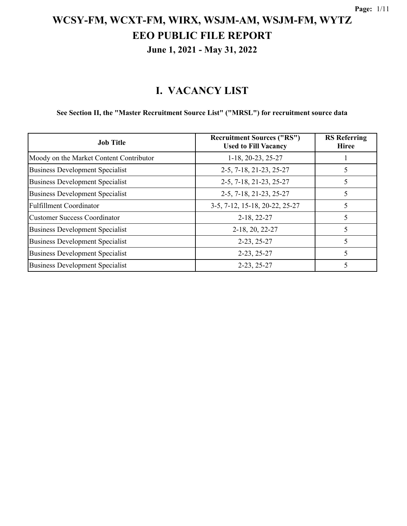# **June 1, 2021 - May 31, 2022**

#### **I. VACANCY LIST**

#### **See Section II, the "Master Recruitment Source List" ("MRSL") for recruitment source data**

| <b>Job Title</b>                        | <b>Recruitment Sources ("RS")</b><br><b>Used to Fill Vacancy</b> | <b>RS</b> Referring<br><b>Hiree</b> |
|-----------------------------------------|------------------------------------------------------------------|-------------------------------------|
| Moody on the Market Content Contributor | 1-18, 20-23, 25-27                                               |                                     |
| <b>Business Development Specialist</b>  | 2-5, 7-18, 21-23, 25-27                                          |                                     |
| <b>Business Development Specialist</b>  | 2-5, 7-18, 21-23, 25-27                                          | 5                                   |
| <b>Business Development Specialist</b>  | 2-5, 7-18, 21-23, 25-27                                          | 5                                   |
| <b>Fulfillment Coordinator</b>          | 3-5, 7-12, 15-18, 20-22, 25-27                                   | 5                                   |
| <b>Customer Success Coordinator</b>     | $2-18, 22-27$                                                    | 5                                   |
| <b>Business Development Specialist</b>  | 2-18, 20, 22-27                                                  |                                     |
| <b>Business Development Specialist</b>  | $2-23, 25-27$                                                    |                                     |
| <b>Business Development Specialist</b>  | $2-23, 25-27$                                                    | 5                                   |
| <b>Business Development Specialist</b>  | $2-23, 25-27$                                                    | 5                                   |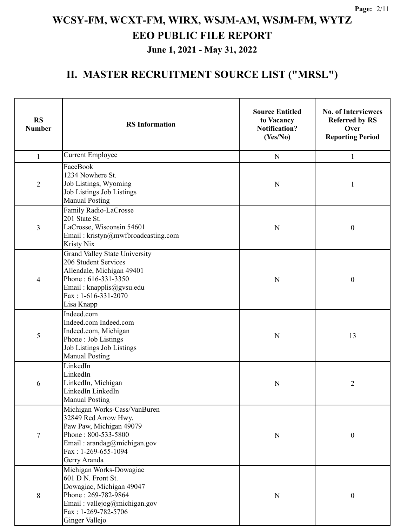#### **June 1, 2021 - May 31, 2022**

| <b>RS</b><br><b>Number</b> | <b>RS</b> Information                                                                                                                                                             | <b>Source Entitled</b><br>to Vacancy<br><b>Notification?</b><br>(Yes/No) | <b>No. of Interviewees</b><br><b>Referred by RS</b><br>Over<br><b>Reporting Period</b> |
|----------------------------|-----------------------------------------------------------------------------------------------------------------------------------------------------------------------------------|--------------------------------------------------------------------------|----------------------------------------------------------------------------------------|
| $\mathbf{1}$               | <b>Current Employee</b>                                                                                                                                                           | ${\bf N}$                                                                | $\mathbf{1}$                                                                           |
| $\overline{2}$             | FaceBook<br>1234 Nowhere St.<br>Job Listings, Wyoming<br>Job Listings Job Listings<br><b>Manual Posting</b>                                                                       | N                                                                        | 1                                                                                      |
| 3                          | Family Radio-LaCrosse<br>201 State St.<br>LaCrosse, Wisconsin 54601<br>Email: kristyn@mwfbroadcasting.com<br>Kristy Nix                                                           | N                                                                        | $\boldsymbol{0}$                                                                       |
| 4                          | <b>Grand Valley State University</b><br>206 Student Services<br>Allendale, Michigan 49401<br>Phone: 616-331-3350<br>Email: knapplis@gvsu.edu<br>Fax: 1-616-331-2070<br>Lisa Knapp | N                                                                        | $\boldsymbol{0}$                                                                       |
| 5                          | Indeed.com<br>Indeed.com Indeed.com<br>Indeed.com, Michigan<br>Phone: Job Listings<br>Job Listings Job Listings<br><b>Manual Posting</b>                                          | N                                                                        | 13                                                                                     |
| 6                          | LinkedIn<br>LinkedIn<br>LinkedIn, Michigan<br>LinkedIn LinkedIn<br><b>Manual Posting</b>                                                                                          | N                                                                        | $\overline{2}$                                                                         |
| $\tau$                     | Michigan Works-Cass/VanBuren<br>32849 Red Arrow Hwy.<br>Paw Paw, Michigan 49079<br>Phone: 800-533-5800<br>Email: arandag@michigan.gov<br>$Fax: 1-269-655-1094$<br>Gerry Aranda    | N                                                                        | $\boldsymbol{0}$                                                                       |
| $8\,$                      | Michigan Works-Dowagiac<br>601 D N. Front St.<br>Dowagiac, Michigan 49047<br>Phone: 269-782-9864<br>Email: vallejog@michigan.gov<br>Fax: 1-269-782-5706<br>Ginger Vallejo         | ${\bf N}$                                                                | $\boldsymbol{0}$                                                                       |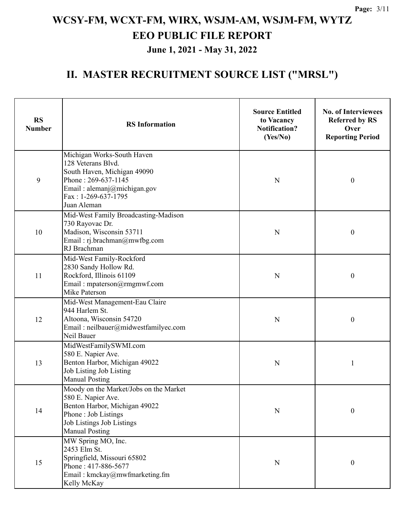| <b>RS</b><br><b>Number</b> | <b>RS</b> Information                                                                                                                                                       | <b>Source Entitled</b><br>to Vacancy<br><b>Notification?</b><br>(Yes/No) | <b>No. of Interviewees</b><br><b>Referred by RS</b><br>Over<br><b>Reporting Period</b> |
|----------------------------|-----------------------------------------------------------------------------------------------------------------------------------------------------------------------------|--------------------------------------------------------------------------|----------------------------------------------------------------------------------------|
| 9                          | Michigan Works-South Haven<br>128 Veterans Blvd.<br>South Haven, Michigan 49090<br>Phone: 269-637-1145<br>Email: alemanj@michigan.gov<br>Fax: 1-269-637-1795<br>Juan Aleman | N                                                                        | $\boldsymbol{0}$                                                                       |
| 10                         | Mid-West Family Broadcasting-Madison<br>730 Rayovac Dr.<br>Madison, Wisconsin 53711<br>Email: rj.brachman@mwfbg.com<br>RJ Brachman                                          | N                                                                        | $\boldsymbol{0}$                                                                       |
| 11                         | Mid-West Family-Rockford<br>2830 Sandy Hollow Rd.<br>Rockford, Illinois 61109<br>Email: mpaterson@rmgmwf.com<br>Mike Paterson                                               | N                                                                        | $\boldsymbol{0}$                                                                       |
| 12                         | Mid-West Management-Eau Claire<br>944 Harlem St.<br>Altoona, Wisconsin 54720<br>Email: neilbauer@midwestfamilyec.com<br>Neil Bauer                                          | N                                                                        | $\boldsymbol{0}$                                                                       |
| 13                         | MidWestFamilySWMI.com<br>580 E. Napier Ave.<br>Benton Harbor, Michigan 49022<br>Job Listing Job Listing<br><b>Manual Posting</b>                                            | N                                                                        |                                                                                        |
| 14                         | Moody on the Market/Jobs on the Market<br>580 E. Napier Ave.<br>Benton Harbor, Michigan 49022<br>Phone: Job Listings<br>Job Listings Job Listings<br><b>Manual Posting</b>  | $\mathbf N$                                                              | $\boldsymbol{0}$                                                                       |
| 15                         | MW Spring MO, Inc.<br>2453 Elm St.<br>Springfield, Missouri 65802<br>Phone: 417-886-5677<br>Email: kmckay@mwfmarketing.fm<br>Kelly McKay                                    | ${\bf N}$                                                                | $\boldsymbol{0}$                                                                       |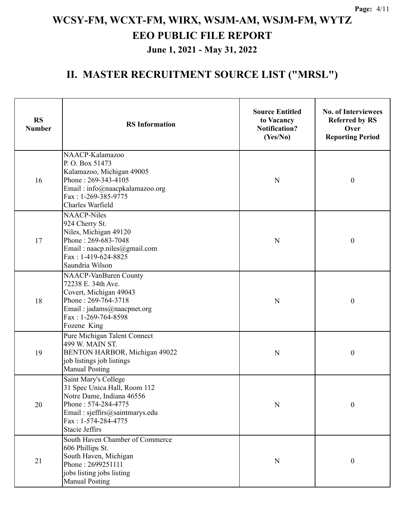#### **June 1, 2021 - May 31, 2022**

| <b>RS</b><br><b>Number</b> | <b>RS</b> Information                                                                                                                                                                      | <b>Source Entitled</b><br>to Vacancy<br><b>Notification?</b><br>(Yes/No) | <b>No. of Interviewees</b><br><b>Referred by RS</b><br>Over<br><b>Reporting Period</b> |
|----------------------------|--------------------------------------------------------------------------------------------------------------------------------------------------------------------------------------------|--------------------------------------------------------------------------|----------------------------------------------------------------------------------------|
| 16                         | NAACP-Kalamazoo<br>P.O. Box 51473<br>Kalamazoo, Michigan 49005<br>Phone: 269-343-4105<br>Email: info@naacpkalamazoo.org<br>Fax: 1-269-385-9775<br>Charles Warfield                         | N                                                                        | $\boldsymbol{0}$                                                                       |
| 17                         | <b>NAACP-Niles</b><br>924 Cherry St.<br>Niles, Michigan 49120<br>Phone: 269-683-7048<br>Email: naacp.niles@gmail.com<br>Fax: 1-419-624-8825<br>Saundria Wilson                             | $\mathbf N$                                                              | $\boldsymbol{0}$                                                                       |
| 18                         | NAACP-VanBuren County<br>72238 E. 34th Ave.<br>Covert, Michigan 49043<br>Phone: 269-764-3718<br>Email: jadams@naacpnet.org<br>Fax: 1-269-764-8598<br>Fozene King                           | N                                                                        | $\boldsymbol{0}$                                                                       |
| 19                         | Pure Michigan Talent Connect<br>499 W. MAIN ST.<br>BENTON HARBOR, Michigan 49022<br>job listings job listings<br><b>Manual Posting</b>                                                     | N                                                                        | $\boldsymbol{0}$                                                                       |
| 20                         | Saint Mary's College<br>31 Spec Unica Hall, Room 112<br>Notre Dame, Indiana 46556<br>Phone: 574-284-4775<br>Email: sjeffirs@saintmarys.edu<br>Fax: 1-574-284-4775<br><b>Stacie Jeffirs</b> | $\mathbf N$                                                              | $\boldsymbol{0}$                                                                       |
| 21                         | South Haven Chamber of Commerce<br>606 Phillips St.<br>South Haven, Michigan<br>Phone: 2699251111<br>jobs listing jobs listing<br><b>Manual Posting</b>                                    | $\mathbf N$                                                              | $\boldsymbol{0}$                                                                       |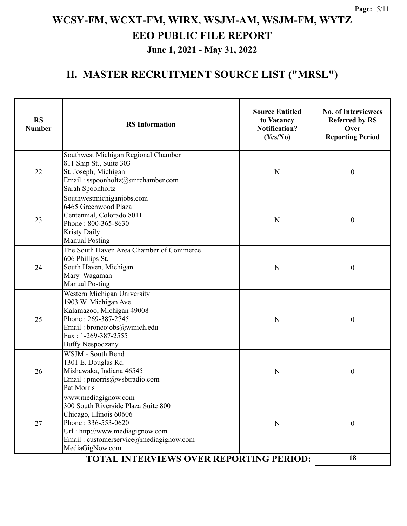| <b>RS</b><br><b>Number</b> | <b>RS</b> Information                                                                                                                                                                                                                                          | <b>Source Entitled</b><br>to Vacancy<br><b>Notification?</b><br>(Yes/No) | <b>No. of Interviewees</b><br><b>Referred by RS</b><br>Over<br><b>Reporting Period</b> |
|----------------------------|----------------------------------------------------------------------------------------------------------------------------------------------------------------------------------------------------------------------------------------------------------------|--------------------------------------------------------------------------|----------------------------------------------------------------------------------------|
| 22                         | Southwest Michigan Regional Chamber<br>811 Ship St., Suite 303<br>St. Joseph, Michigan<br>N<br>Email: sspoonholtz@smrchamber.com<br>Sarah Spoonholtz                                                                                                           |                                                                          | $\boldsymbol{0}$                                                                       |
| 23                         | Southwestmichiganjobs.com<br>6465 Greenwood Plaza<br>Centennial, Colorado 80111<br>Phone: 800-365-8630<br><b>Kristy Daily</b><br><b>Manual Posting</b>                                                                                                         | N                                                                        | $\boldsymbol{0}$                                                                       |
| 24                         | The South Haven Area Chamber of Commerce<br>606 Phillips St.<br>South Haven, Michigan<br>Mary Wagaman<br><b>Manual Posting</b>                                                                                                                                 | N                                                                        | $\boldsymbol{0}$                                                                       |
| 25                         | Western Michigan University<br>1903 W. Michigan Ave.<br>Kalamazoo, Michigan 49008<br>Phone: 269-387-2745<br>Email: broncojobs@wmich.edu<br>$Fax: 1-269-387-2555$<br><b>Buffy Nespodzany</b>                                                                    | $\mathbf N$                                                              | $\boldsymbol{0}$                                                                       |
| 26                         | WSJM - South Bend<br>1301 E. Douglas Rd.<br>Mishawaka, Indiana 46545<br>Email: pmorris@wsbtradio.com<br>Pat Morris                                                                                                                                             | N                                                                        | $\boldsymbol{0}$                                                                       |
| 27                         | www.mediagignow.com<br>300 South Riverside Plaza Suite 800<br>Chicago, Illinois 60606<br>Phone: 336-553-0620<br>Url: http://www.mediagignow.com<br>Email: customerservice@mediagignow.com<br>MediaGigNow.com<br><b>TOTAL INTERVIEWS OVER REPORTING PERIOD:</b> | $\mathbf N$                                                              | $\boldsymbol{0}$                                                                       |
|                            | 18                                                                                                                                                                                                                                                             |                                                                          |                                                                                        |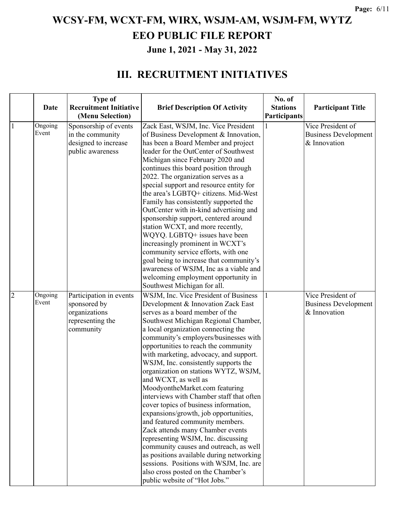### **June 1, 2021 - May 31, 2022**

|                | Date             | <b>Type of</b><br><b>Recruitment Initiative</b>                                           | <b>Brief Description Of Activity</b>                                                                                                                                                                                                              | No. of<br><b>Stations</b> | <b>Participant Title</b>                                         |
|----------------|------------------|-------------------------------------------------------------------------------------------|---------------------------------------------------------------------------------------------------------------------------------------------------------------------------------------------------------------------------------------------------|---------------------------|------------------------------------------------------------------|
|                |                  | (Menu Selection)                                                                          |                                                                                                                                                                                                                                                   | Participants              |                                                                  |
| $\mathbf{1}$   | Ongoing<br>Event | Sponsorship of events<br>in the community<br>designed to increase<br>public awareness     | Zack East, WSJM, Inc. Vice President<br>of Business Development & Innovation,<br>has been a Board Member and project<br>leader for the OutCenter of Southwest<br>Michigan since February 2020 and                                                 |                           | Vice President of<br><b>Business Development</b><br>& Innovation |
|                |                  |                                                                                           | continues this board position through<br>2022. The organization serves as a<br>special support and resource entity for<br>the area's LGBTQ+ citizens. Mid-West<br>Family has consistently supported the<br>OutCenter with in-kind advertising and |                           |                                                                  |
|                |                  |                                                                                           | sponsorship support, centered around<br>station WCXT, and more recently,<br>WQYQ. LGBTQ+ issues have been<br>increasingly prominent in WCXT's<br>community service efforts, with one                                                              |                           |                                                                  |
|                |                  |                                                                                           | goal being to increase that community's<br>awareness of WSJM, Inc as a viable and<br>welcoming employment opportunity in<br>Southwest Michigan for all.                                                                                           |                           |                                                                  |
| $\overline{2}$ | Ongoing<br>Event | Participation in events<br>sponsored by<br>organizations<br>representing the<br>community | WSJM, Inc. Vice President of Business<br>Development & Innovation Zack East<br>serves as a board member of the<br>Southwest Michigan Regional Chamber,<br>a local organization connecting the                                                     |                           | Vice President of<br><b>Business Development</b><br>& Innovation |
|                |                  |                                                                                           | community's employers/businesses with<br>opportunities to reach the community<br>with marketing, advocacy, and support.                                                                                                                           |                           |                                                                  |
|                |                  |                                                                                           | WSJM, Inc. consistently supports the<br>organization on stations WYTZ, WSJM,<br>and WCXT, as well as<br>MoodyontheMarket.com featuring<br>interviews with Chamber staff that often                                                                |                           |                                                                  |
|                |                  |                                                                                           | cover topics of business information,<br>expansions/growth, job opportunities,<br>and featured community members.<br>Zack attends many Chamber events                                                                                             |                           |                                                                  |
|                |                  |                                                                                           | representing WSJM, Inc. discussing<br>community causes and outreach, as well<br>as positions available during networking<br>sessions. Positions with WSJM, Inc. are<br>also cross posted on the Chamber's                                         |                           |                                                                  |
|                |                  |                                                                                           | public website of "Hot Jobs."                                                                                                                                                                                                                     |                           |                                                                  |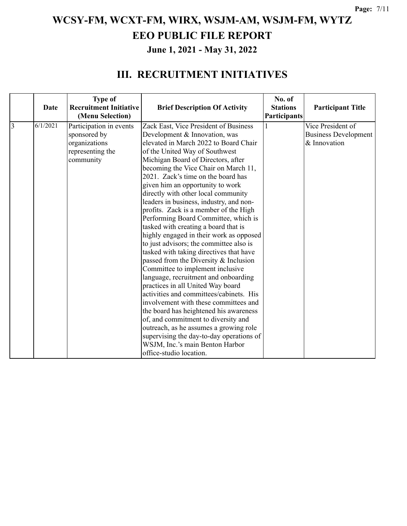|                | Date     | <b>Type of</b><br><b>Recruitment Initiative</b><br>(Menu Selection) | <b>Brief Description Of Activity</b>     | No. of<br><b>Stations</b><br><b>Participants</b> | <b>Participant Title</b>    |
|----------------|----------|---------------------------------------------------------------------|------------------------------------------|--------------------------------------------------|-----------------------------|
| $\overline{3}$ | 6/1/2021 | Participation in events                                             | Zack East, Vice President of Business    |                                                  | Vice President of           |
|                |          | sponsored by                                                        | Development & Innovation, was            |                                                  | <b>Business Development</b> |
|                |          | organizations                                                       | elevated in March 2022 to Board Chair    |                                                  | & Innovation                |
|                |          | representing the                                                    | of the United Way of Southwest           |                                                  |                             |
|                |          | community                                                           | Michigan Board of Directors, after       |                                                  |                             |
|                |          |                                                                     | becoming the Vice Chair on March 11,     |                                                  |                             |
|                |          |                                                                     | 2021. Zack's time on the board has       |                                                  |                             |
|                |          |                                                                     | given him an opportunity to work         |                                                  |                             |
|                |          |                                                                     | directly with other local community      |                                                  |                             |
|                |          |                                                                     | leaders in business, industry, and non-  |                                                  |                             |
|                |          |                                                                     | profits. Zack is a member of the High    |                                                  |                             |
|                |          |                                                                     | Performing Board Committee, which is     |                                                  |                             |
|                |          |                                                                     | tasked with creating a board that is     |                                                  |                             |
|                |          |                                                                     | highly engaged in their work as opposed  |                                                  |                             |
|                |          |                                                                     | to just advisors; the committee also is  |                                                  |                             |
|                |          |                                                                     | tasked with taking directives that have  |                                                  |                             |
|                |          |                                                                     | passed from the Diversity & Inclusion    |                                                  |                             |
|                |          |                                                                     | Committee to implement inclusive         |                                                  |                             |
|                |          |                                                                     | language, recruitment and onboarding     |                                                  |                             |
|                |          |                                                                     | practices in all United Way board        |                                                  |                             |
|                |          |                                                                     | activities and committees/cabinets. His  |                                                  |                             |
|                |          |                                                                     | involvement with these committees and    |                                                  |                             |
|                |          |                                                                     | the board has heightened his awareness   |                                                  |                             |
|                |          |                                                                     | of, and commitment to diversity and      |                                                  |                             |
|                |          |                                                                     | outreach, as he assumes a growing role   |                                                  |                             |
|                |          |                                                                     | supervising the day-to-day operations of |                                                  |                             |
|                |          |                                                                     | WSJM, Inc.'s main Benton Harbor          |                                                  |                             |
|                |          |                                                                     | office-studio location.                  |                                                  |                             |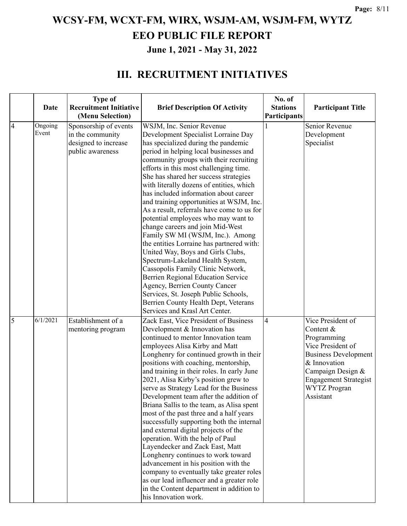|                |          | <b>Type of</b>                |                                                                          | No. of          |                              |
|----------------|----------|-------------------------------|--------------------------------------------------------------------------|-----------------|------------------------------|
|                | Date     | <b>Recruitment Initiative</b> | <b>Brief Description Of Activity</b>                                     | <b>Stations</b> | <b>Participant Title</b>     |
|                |          | (Menu Selection)              |                                                                          | Participants    |                              |
| $\overline{4}$ | Ongoing  | Sponsorship of events         | WSJM, Inc. Senior Revenue                                                |                 | Senior Revenue               |
|                | Event    | in the community              | Development Specialist Lorraine Day                                      |                 | Development                  |
|                |          | designed to increase          | has specialized during the pandemic                                      |                 | Specialist                   |
|                |          | public awareness              | period in helping local businesses and                                   |                 |                              |
|                |          |                               | community groups with their recruiting                                   |                 |                              |
|                |          |                               | efforts in this most challenging time.                                   |                 |                              |
|                |          |                               | She has shared her success strategies                                    |                 |                              |
|                |          |                               | with literally dozens of entities, which                                 |                 |                              |
|                |          |                               | has included information about career                                    |                 |                              |
|                |          |                               | and training opportunities at WSJM, Inc.                                 |                 |                              |
|                |          |                               | As a result, referrals have come to us for                               |                 |                              |
|                |          |                               | potential employees who may want to                                      |                 |                              |
|                |          |                               | change careers and join Mid-West                                         |                 |                              |
|                |          |                               | Family SW MI (WSJM, Inc.). Among                                         |                 |                              |
|                |          |                               | the entities Lorraine has partnered with:                                |                 |                              |
|                |          |                               | United Way, Boys and Girls Clubs,<br>Spectrum-Lakeland Health System,    |                 |                              |
|                |          |                               | Cassopolis Family Clinic Network,                                        |                 |                              |
|                |          |                               | Berrien Regional Education Service                                       |                 |                              |
|                |          |                               | Agency, Berrien County Cancer                                            |                 |                              |
|                |          |                               | Services, St. Joseph Public Schools,                                     |                 |                              |
|                |          |                               | Berrien County Health Dept, Veterans                                     |                 |                              |
|                |          |                               | Services and Krasl Art Center.                                           |                 |                              |
| 5              | 6/1/2021 | Establishment of a            | Zack East, Vice President of Business                                    | $\overline{4}$  | Vice President of            |
|                |          | mentoring program             | Development & Innovation has                                             |                 | Content &                    |
|                |          |                               | continued to mentor Innovation team                                      |                 | Programming                  |
|                |          |                               | employees Alisa Kirby and Matt                                           |                 | Vice President of            |
|                |          |                               | Longhenry for continued growth in their                                  |                 | <b>Business Development</b>  |
|                |          |                               | positions with coaching, mentorship,                                     |                 | & Innovation                 |
|                |          |                               | and training in their roles. In early June                               |                 | Campaign Design &            |
|                |          |                               | 2021, Alisa Kirby's position grew to                                     |                 | <b>Engagement Strategist</b> |
|                |          |                               | serve as Strategy Lead for the Business                                  |                 | <b>WYTZ</b> Progran          |
|                |          |                               | Development team after the addition of                                   |                 | Assistant                    |
|                |          |                               | Briana Sallis to the team, as Alisa spent                                |                 |                              |
|                |          |                               | most of the past three and a half years                                  |                 |                              |
|                |          |                               | successfully supporting both the internal                                |                 |                              |
|                |          |                               | and external digital projects of the<br>operation. With the help of Paul |                 |                              |
|                |          |                               | Layendecker and Zack East, Matt                                          |                 |                              |
|                |          |                               | Longhenry continues to work toward                                       |                 |                              |
|                |          |                               | advancement in his position with the                                     |                 |                              |
|                |          |                               | company to eventually take greater roles                                 |                 |                              |
|                |          |                               | as our lead influencer and a greater role                                |                 |                              |
|                |          |                               | in the Content department in addition to                                 |                 |                              |
|                |          |                               | his Innovation work.                                                     |                 |                              |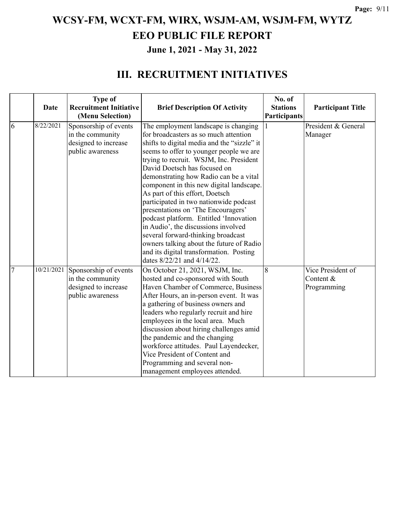|                | Date       | <b>Type of</b><br><b>Recruitment Initiative</b><br>(Menu Selection)                   | <b>Brief Description Of Activity</b>                                                                                                                                                                                                                                                                                                                                                                                                                                                                  | No. of<br><b>Stations</b><br>Participants | <b>Participant Title</b>                      |
|----------------|------------|---------------------------------------------------------------------------------------|-------------------------------------------------------------------------------------------------------------------------------------------------------------------------------------------------------------------------------------------------------------------------------------------------------------------------------------------------------------------------------------------------------------------------------------------------------------------------------------------------------|-------------------------------------------|-----------------------------------------------|
| 6              | 8/22/2021  | Sponsorship of events<br>in the community<br>designed to increase<br>public awareness | The employment landscape is changing<br>for broadcasters as so much attention<br>shifts to digital media and the "sizzle" it<br>seems to offer to younger people we are<br>trying to recruit. WSJM, Inc. President<br>David Doetsch has focused on<br>demonstrating how Radio can be a vital<br>component in this new digital landscape.<br>As part of this effort, Doetsch<br>participated in two nationwide podcast<br>presentations on 'The Encouragers'<br>podcast platform. Entitled 'Innovation |                                           | President & General<br>Manager                |
|                |            |                                                                                       | in Audio', the discussions involved<br>several forward-thinking broadcast<br>owners talking about the future of Radio<br>and its digital transformation. Posting<br>dates 8/22/21 and 4/14/22.                                                                                                                                                                                                                                                                                                        |                                           |                                               |
| $\overline{7}$ | 10/21/2021 | Sponsorship of events<br>in the community<br>designed to increase<br>public awareness | On October 21, 2021, WSJM, Inc.<br>hosted and co-sponsored with South<br>Haven Chamber of Commerce, Business<br>After Hours, an in-person event. It was<br>a gathering of business owners and<br>leaders who regularly recruit and hire<br>employees in the local area. Much<br>discussion about hiring challenges amid<br>the pandemic and the changing<br>workforce attitudes. Paul Layendecker,<br>Vice President of Content and<br>Programming and several non-<br>management employees attended. | 8                                         | Vice President of<br>Content &<br>Programming |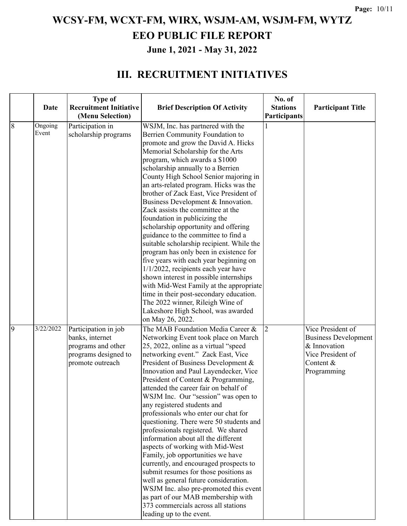|                |           | <b>Type of</b>                |                                                                                     | No. of          |                             |
|----------------|-----------|-------------------------------|-------------------------------------------------------------------------------------|-----------------|-----------------------------|
|                | Date      | <b>Recruitment Initiative</b> | <b>Brief Description Of Activity</b>                                                | <b>Stations</b> | <b>Participant Title</b>    |
|                |           | (Menu Selection)              |                                                                                     | Participants    |                             |
| $\overline{8}$ | Ongoing   | Participation in              | WSJM, Inc. has partnered with the                                                   | 1               |                             |
|                | Event     | scholarship programs          | Berrien Community Foundation to                                                     |                 |                             |
|                |           |                               | promote and grow the David A. Hicks                                                 |                 |                             |
|                |           |                               | Memorial Scholarship for the Arts                                                   |                 |                             |
|                |           |                               | program, which awards a \$1000                                                      |                 |                             |
|                |           |                               | scholarship annually to a Berrien                                                   |                 |                             |
|                |           |                               | County High School Senior majoring in                                               |                 |                             |
|                |           |                               | an arts-related program. Hicks was the                                              |                 |                             |
|                |           |                               | brother of Zack East, Vice President of                                             |                 |                             |
|                |           |                               | Business Development & Innovation.                                                  |                 |                             |
|                |           |                               | Zack assists the committee at the                                                   |                 |                             |
|                |           |                               | foundation in publicizing the                                                       |                 |                             |
|                |           |                               | scholarship opportunity and offering                                                |                 |                             |
|                |           |                               | guidance to the committee to find a                                                 |                 |                             |
|                |           |                               | suitable scholarship recipient. While the<br>program has only been in existence for |                 |                             |
|                |           |                               | five years with each year beginning on                                              |                 |                             |
|                |           |                               | 1/1/2022, recipients each year have                                                 |                 |                             |
|                |           |                               | shown interest in possible internships                                              |                 |                             |
|                |           |                               | with Mid-West Family at the appropriate                                             |                 |                             |
|                |           |                               | time in their post-secondary education.                                             |                 |                             |
|                |           |                               | The 2022 winner, Rileigh Wine of                                                    |                 |                             |
|                |           |                               | Lakeshore High School, was awarded                                                  |                 |                             |
|                |           |                               | on May 26, 2022.                                                                    |                 |                             |
| $\overline{9}$ | 3/22/2022 | Participation in job          | The MAB Foundation Media Career &                                                   | $\overline{2}$  | Vice President of           |
|                |           | banks, internet               | Networking Event took place on March                                                |                 | <b>Business Development</b> |
|                |           | programs and other            | 25, 2022, online as a virtual "speed                                                |                 | & Innovation                |
|                |           | programs designed to          | networking event." Zack East, Vice                                                  |                 | Vice President of           |
|                |           | promote outreach              | President of Business Development &                                                 |                 | Content &                   |
|                |           |                               | Innovation and Paul Layendecker, Vice                                               |                 | Programming                 |
|                |           |                               | President of Content & Programming,                                                 |                 |                             |
|                |           |                               | attended the career fair on behalf of                                               |                 |                             |
|                |           |                               | WSJM Inc. Our "session" was open to                                                 |                 |                             |
|                |           |                               | any registered students and                                                         |                 |                             |
|                |           |                               | professionals who enter our chat for                                                |                 |                             |
|                |           |                               | questioning. There were 50 students and                                             |                 |                             |
|                |           |                               | professionals registered. We shared                                                 |                 |                             |
|                |           |                               | information about all the different                                                 |                 |                             |
|                |           |                               | aspects of working with Mid-West                                                    |                 |                             |
|                |           |                               | Family, job opportunities we have<br>currently, and encouraged prospects to         |                 |                             |
|                |           |                               | submit resumes for those positions as                                               |                 |                             |
|                |           |                               | well as general future consideration.                                               |                 |                             |
|                |           |                               | WSJM Inc. also pre-promoted this event                                              |                 |                             |
|                |           |                               | as part of our MAB membership with                                                  |                 |                             |
|                |           |                               | 373 commercials across all stations                                                 |                 |                             |
|                |           |                               | leading up to the event.                                                            |                 |                             |